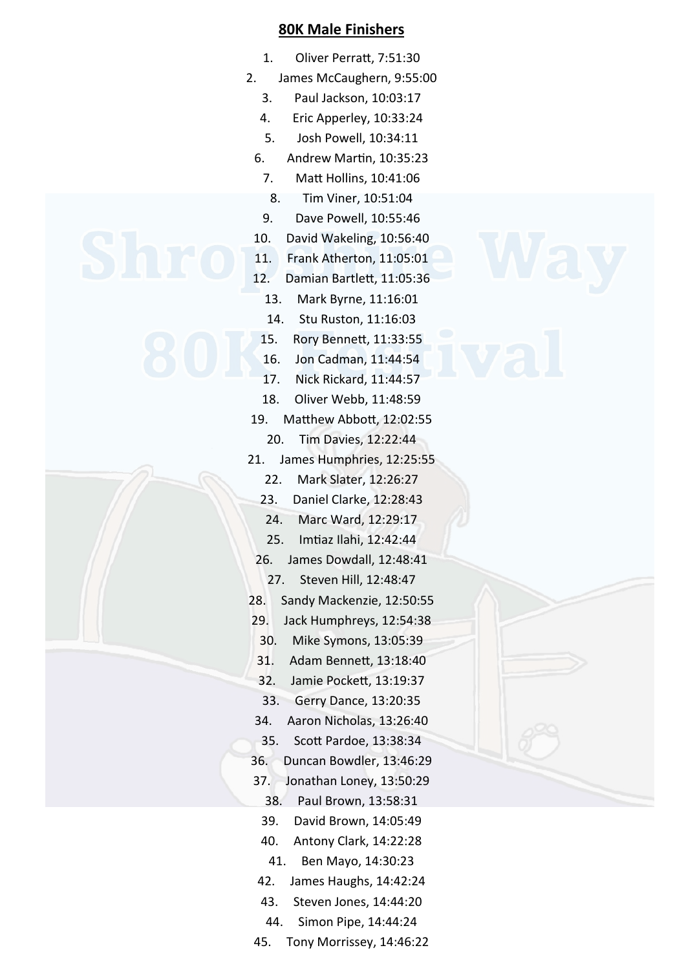## **80K Male Finishers**

- 1. Oliver Perratt, 7:51:30
- 2. James McCaughern, 9:55:00
	- 3. Paul Jackson, 10:03:17
	- 4. Eric Apperley, 10:33:24
	- 5. Josh Powell, 10:34:11
	- 6. Andrew Martin, 10:35:23
		- 7. Matt Hollins, 10:41:06
		- 8. Tim Viner, 10:51:04
		- 9. Dave Powell, 10:55:46
	- 10. David Wakeling, 10:56:40
	- 11. Frank Atherton, 11:05:01
	- 12. Damian Bartlett, 11:05:36
		- 13. Mark Byrne, 11:16:01
		- 14. Stu Ruston, 11:16:03
		- 15. Rory Bennett, 11:33:55
		- 16. Jon Cadman, 11:44:54
		- 17. Nick Rickard, 11:44:57
	- 18. Oliver Webb, 11:48:59
- 19. Matthew Abbott, 12:02:55
	- 20. Tim Davies, 12:22:44
- 21. James Humphries, 12:25:55
	- 22. Mark Slater, 12:26:27
	- 23. Daniel Clarke, 12:28:43
	- 24. Marc Ward, 12:29:17
		- 25. Imtiaz Ilahi, 12:42:44
	- 26. James Dowdall, 12:48:41
		- 27. Steven Hill, 12:48:47
- 28. Sandy Mackenzie, 12:50:55
- 29. Jack Humphreys, 12:54:38
- 30. Mike Symons, 13:05:39
- 31. Adam Bennett, 13:18:40
- 32. Jamie Pockett, 13:19:37
- 33. Gerry Dance, 13:20:35
- 34. Aaron Nicholas, 13:26:40
- 35. Scott Pardoe, 13:38:34
- 36. Duncan Bowdler, 13:46:29
- 37. Jonathan Loney, 13:50:29
	- 38. Paul Brown, 13:58:31
	- 39. David Brown, 14:05:49
	- 40. Antony Clark, 14:22:28
	- 41. Ben Mayo, 14:30:23
	- 42. James Haughs, 14:42:24
	- 43. Steven Jones, 14:44:20
	- 44. Simon Pipe, 14:44:24
- 45. Tony Morrissey, 14:46:22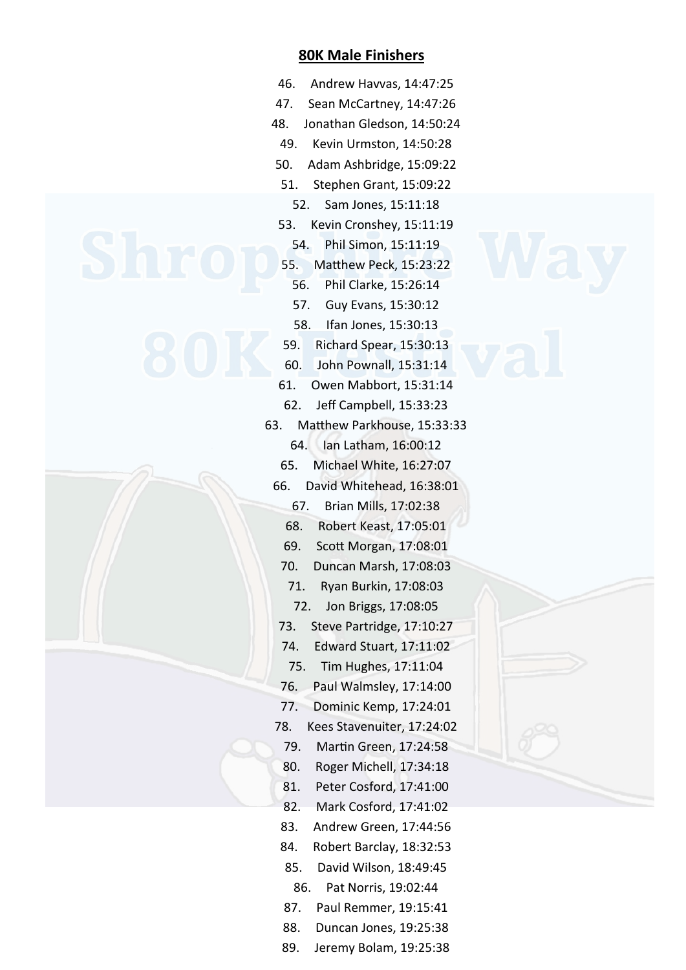## **80K Male Finishers**

- 46. Andrew Havvas, 14:47:25 47. Sean McCartney, 14:47:26 48. Jonathan Gledson, 14:50:24 49. Kevin Urmston, 14:50:28 50. Adam Ashbridge, 15:09:22
	- 51. Stephen Grant, 15:09:22
		- 52. Sam Jones, 15:11:18
	- 53. Kevin Cronshey, 15:11:19
	- 54. Phil Simon, 15:11:19 55. Matthew Peck, 15:23:22 56. Phil Clarke, 15:26:14
		- 57. Guy Evans, 15:30:12
	- 58. Ifan Jones, 15:30:13 59. Richard Spear, 15:30:13 60. John Pownall, 15:31:14
	- 61. Owen Mabbort, 15:31:14
	- 62. Jeff Campbell, 15:33:23 63. Matthew Parkhouse, 15:33:33 64. Ian Latham, 16:00:12
		- 65. Michael White, 16:27:07
	- 66. David Whitehead, 16:38:01
		- 67. Brian Mills, 17:02:38
		- 68. Robert Keast, 17:05:01
	- 69. Scott Morgan, 17:08:01
	- 70. Duncan Marsh, 17:08:03
		- 71. Ryan Burkin, 17:08:03
		- 72. Jon Briggs, 17:08:05
	- 73. Steve Partridge, 17:10:27
	- 74. Edward Stuart, 17:11:02
	- 75. Tim Hughes, 17:11:04
	- 76. Paul Walmsley, 17:14:00
	- 77. Dominic Kemp, 17:24:01
	- 78. Kees Stavenuiter, 17:24:02
	- 79. Martin Green, 17:24:58
	- 80. Roger Michell, 17:34:18
	- 81. Peter Cosford, 17:41:00
	- 82. Mark Cosford, 17:41:02
	- 83. Andrew Green, 17:44:56
	- 84. Robert Barclay, 18:32:53
	- 85. David Wilson, 18:49:45
	- 86. Pat Norris, 19:02:44
	- 87. Paul Remmer, 19:15:41
	- 88. Duncan Jones, 19:25:38
	- 89. Jeremy Bolam, 19:25:38